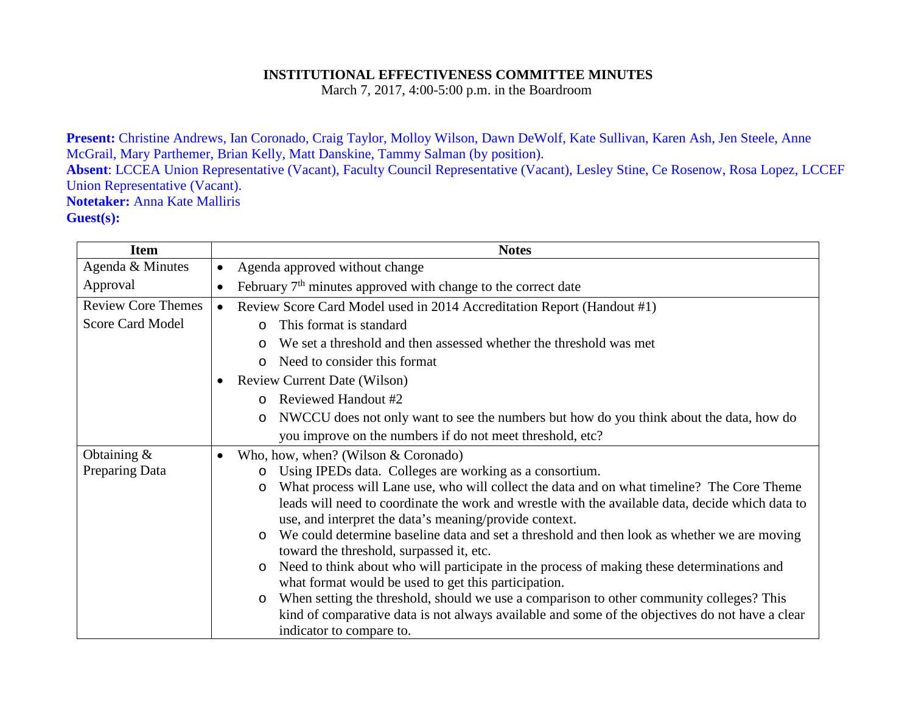## **INSTITUTIONAL EFFECTIVENESS COMMITTEE MINUTES**

March 7, 2017, 4:00-5:00 p.m. in the Boardroom

**Present:** Christine Andrews, Ian Coronado, Craig Taylor, Molloy Wilson, Dawn DeWolf, Kate Sullivan, Karen Ash, Jen Steele, Anne McGrail, Mary Parthemer, Brian Kelly, Matt Danskine, Tammy Salman (by position). **Absent**: LCCEA Union Representative (Vacant), Faculty Council Representative (Vacant), Lesley Stine, Ce Rosenow, Rosa Lopez, LCCEF Union Representative (Vacant). **Notetaker:** Anna Kate Malliris **Guest(s):**

| <b>Item</b>               | <b>Notes</b>                                                                                            |
|---------------------------|---------------------------------------------------------------------------------------------------------|
| Agenda & Minutes          | Agenda approved without change<br>$\bullet$                                                             |
| Approval                  | February $7th$ minutes approved with change to the correct date<br>$\bullet$                            |
| <b>Review Core Themes</b> | Review Score Card Model used in 2014 Accreditation Report (Handout #1)<br>$\bullet$                     |
| <b>Score Card Model</b>   | This format is standard<br>$\Omega$                                                                     |
|                           | We set a threshold and then assessed whether the threshold was met<br>$\circ$                           |
|                           | Need to consider this format<br>$\Omega$                                                                |
|                           | <b>Review Current Date (Wilson)</b>                                                                     |
|                           | Reviewed Handout #2<br>$\Omega$                                                                         |
|                           | NWCCU does not only want to see the numbers but how do you think about the data, how do<br>$\circ$      |
|                           | you improve on the numbers if do not meet threshold, etc?                                               |
| Obtaining $\&$            | Who, how, when? (Wilson & Coronado)<br>$\bullet$                                                        |
| Preparing Data            | Using IPEDs data. Colleges are working as a consortium.<br>$\circ$                                      |
|                           | What process will Lane use, who will collect the data and on what timeline? The Core Theme<br>$\circ$   |
|                           | leads will need to coordinate the work and wrestle with the available data, decide which data to        |
|                           | use, and interpret the data's meaning/provide context.                                                  |
|                           | We could determine baseline data and set a threshold and then look as whether we are moving<br>$\Omega$ |
|                           | toward the threshold, surpassed it, etc.                                                                |
|                           | Need to think about who will participate in the process of making these determinations and<br>$\circ$   |
|                           | what format would be used to get this participation.                                                    |
|                           | When setting the threshold, should we use a comparison to other community colleges? This<br>$\circ$     |
|                           | kind of comparative data is not always available and some of the objectives do not have a clear         |
|                           | indicator to compare to.                                                                                |